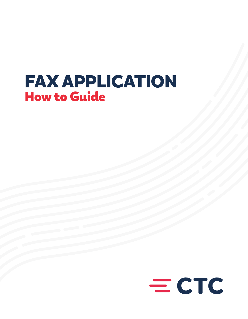# FAX APPLICATION How to Guide

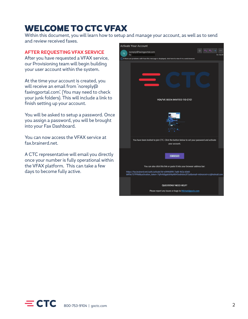# WELCOME TO CTC VFAX

Within this document, you will learn how to setup and manage your account, as well as to send and review received faxes.

#### **AFTER REQUESTING VFAX SERVICE**

After you have requested a VFAX service, our Provisioning team will begin building your user account within the system.

At the time your account is created, you will receive an email from 'noreply@ faxingportal.com'. (You may need to check your junk folders). This will include a link to finish setting up your account.

You will be asked to setup a password. Once you assign a password, you will be brought into your Fax Dashboard.

You can now access the VFAX service at fax.brainerd.net.

A CTC representative will email you directly once your number is fully operational within the VFAX platform. This can take a few days to become fully active.



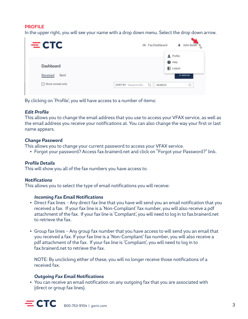## **PROFILE**

In the upper right, you will see your name with a drop down menu. Select the drop down arrow.

| $=$ CTC          | John Smith<br>€% Fax Dashboard<br>∸                |
|------------------|----------------------------------------------------|
| <b>Dashboard</b> | Profile<br>$\Theta$ Help<br>E Logout               |
| Received<br>Sent | $+$ NEW FAX                                        |
| Show unread only | O,<br>SORT BY Newest to Old<br>ŤJ<br><b>SEARCH</b> |

By clicking on 'Profile', you will have access to a number of items:

#### *Edit Profile*

This allows you to change the email address that you use to access your VFAX service, as well as the email address you receive your notifications at. You can also change the way your first or last name appears.

#### *Change Password*

This allows you to change your current password to access your VFAX service.

• Forgot your password? Access fax.brainerd.net and click on "Forgot your Password?" link.

### *Profile Details*

This will show you all of the fax numbers you have access to.

#### *Notifications*

This allows you to select the type of email notifications you will receive:

#### *Incoming Fax Email Notifications*

- Direct Fax lines Any direct fax line that you have will send you an email notification that you received a fax. If your fax line is a 'Non-Compliant' fax number, you will also receive a pdf attachment of the fax. If your fax line is 'Compliant', you will need to log in to fax.brainerd.net to retrieve the fax.
- Group fax lines Any group fax number that you have access to will send you an email that you received a fax. If your fax line is a 'Non-Compliant' fax number, you will also receive a pdf attachment of the fax. If your fax line is 'Compliant', you will need to log in to fax.brainerd.net to retrieve the fax.

 NOTE: By unclicking either of these, you will no longer receive those notifications of a received fax.

#### *Outgoing Fax Email Notifications*

• You can receive an email notification on any outgoing fax that you are associated with (direct or group fax lines).

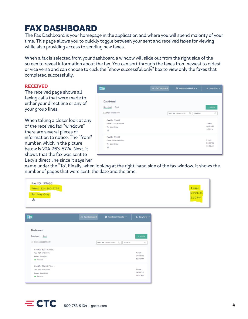# FAX DASHBOARD

The Fax Dashboard is your homepage in the application and where you will spend majority of your time. This page allows you to quickly toggle between your sent and received faxes for viewing while also providing access to sending new faxes.

When a fax is selected from your dashboard a window will slide out from the right side of the screen to reveal information about the fax. You can sort through the faxes from newest to oldest or vice versa and can choose to click the "show successful only" box to view only the faxes that completed successfully.

#### **RECEIVED**

The received page shows all faxing calls that were made to either your direct line or any of your group lines.

When taking a closer look at any of the received fax "windows" there are several pieces of information to notice. The "from" number, which in the picture below is 224-263-5774. Next, it shows that the fax was sent to Lexy's direct line since it says her



name under the "To". Finally, when looking at the right-hand side of the fax window, it shows the number of pages that were sent, the date and the time.

| Fax ID: 59663      |          |
|--------------------|----------|
| From: 224-263-5774 | 1 page   |
| To: Lexy Grey      | 04/01/21 |
| 出                  | 3:50 PM  |
|                    |          |

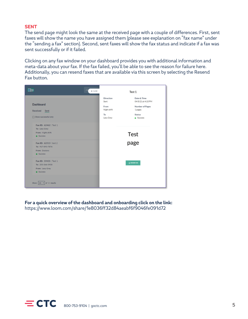### **SENT**

The send page might look the same at the received page with a couple of differences. First, sent faxes will show the name you have assigned them (please see explanation on "fax name" under the "sending a fax" section). Second, sent faxes will show the fax status and indicate if a fax was sent successfully or if it failed.

Clicking on any fax window on your dashboard provides you with additional information and meta-data about your fax. If the fax failed, you'll be able to see the reason for failure here. Additionally, you can resend faxes that are available via this screen by selecting the Resend Fax button.



**For a quick overview of the dashboard and onboarding click on the link:** https://www.loom.com/share/1e8036ff32d84aeabf6f9046fe091d72

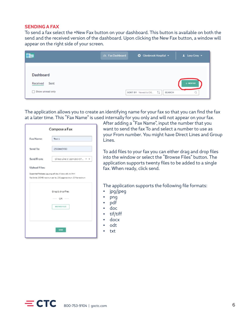#### **SENDING A FAX**

To send a fax select the +New Fax button on your dashboard. This button is available on both the send and the received version of the dashboard. Upon clicking the New Fax button, a window will appear on the right side of your screen.

|                                                          | 6% Fax Dashboard | ☆ Glenbrook Hospital ▼              | 1 Lexy Grey + |
|----------------------------------------------------------|------------------|-------------------------------------|---------------|
| <b>Dashboard</b><br>Sent<br>Received<br>Show unread only |                  | SORT BY Newest to Old    <br>SEARCH | $+$ NEWFAX    |

The application allows you to create an identifying name for your fax so that you can find the fax at a later time. This "Fax Name" is used internally for you only and will not appear on your fax.

| Compose a Fax                                                                                                                       |                                |  |
|-------------------------------------------------------------------------------------------------------------------------------------|--------------------------------|--|
| Fax Name:                                                                                                                           | Test 1                         |  |
| Send To:                                                                                                                            | 2533665930                     |  |
| Sond From:                                                                                                                          | Direct Line 1   224-263-57 X v |  |
| Upload Files:                                                                                                                       |                                |  |
| Supported Historyex jog.org pdf.doc.17, docs, edt, txt, Heni<br>Factivity 2024B realist many fact 200 page marketers. 20 Remaintent |                                |  |
|                                                                                                                                     | Drag & drop files:             |  |
| OR -                                                                                                                                |                                |  |
|                                                                                                                                     | <b>BROWN FILES</b>             |  |
|                                                                                                                                     |                                |  |
| 9060                                                                                                                                |                                |  |

After adding a "Fax Name", input the number that you want to send the fax To and select a number to use as your From number. You might have Direct Lines and Group Lines.

To add files to your fax you can either drag and drop files into the window or select the "Browse Files" button. The application supports twenty files to be added to a single fax. When ready, click send.

The application supports the following file formats:

- jpg/jpeg
- png
- pdf
- doc
- tif/tiff
- docx
- odt
- txt